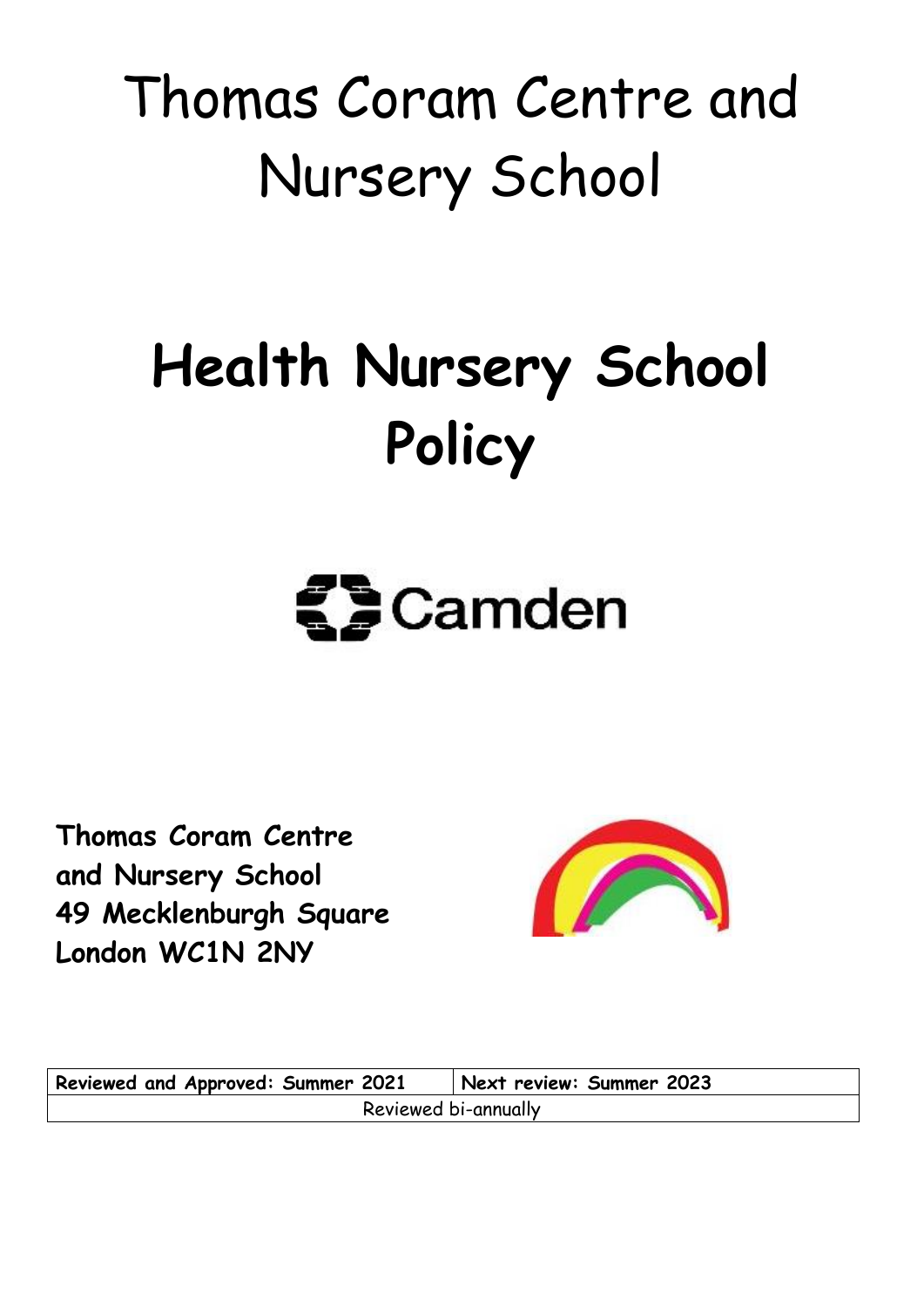## Thomas Coram Centre and Nursery School

## **Health Nursery School Policy**

# $\mathbf{S}$  Camden

**Thomas Coram Centre and Nursery School 49 Mecklenburgh Square London WC1N 2NY**



**Reviewed and Approved: Summer 2021 Next review: Summer 2023** Reviewed bi-annually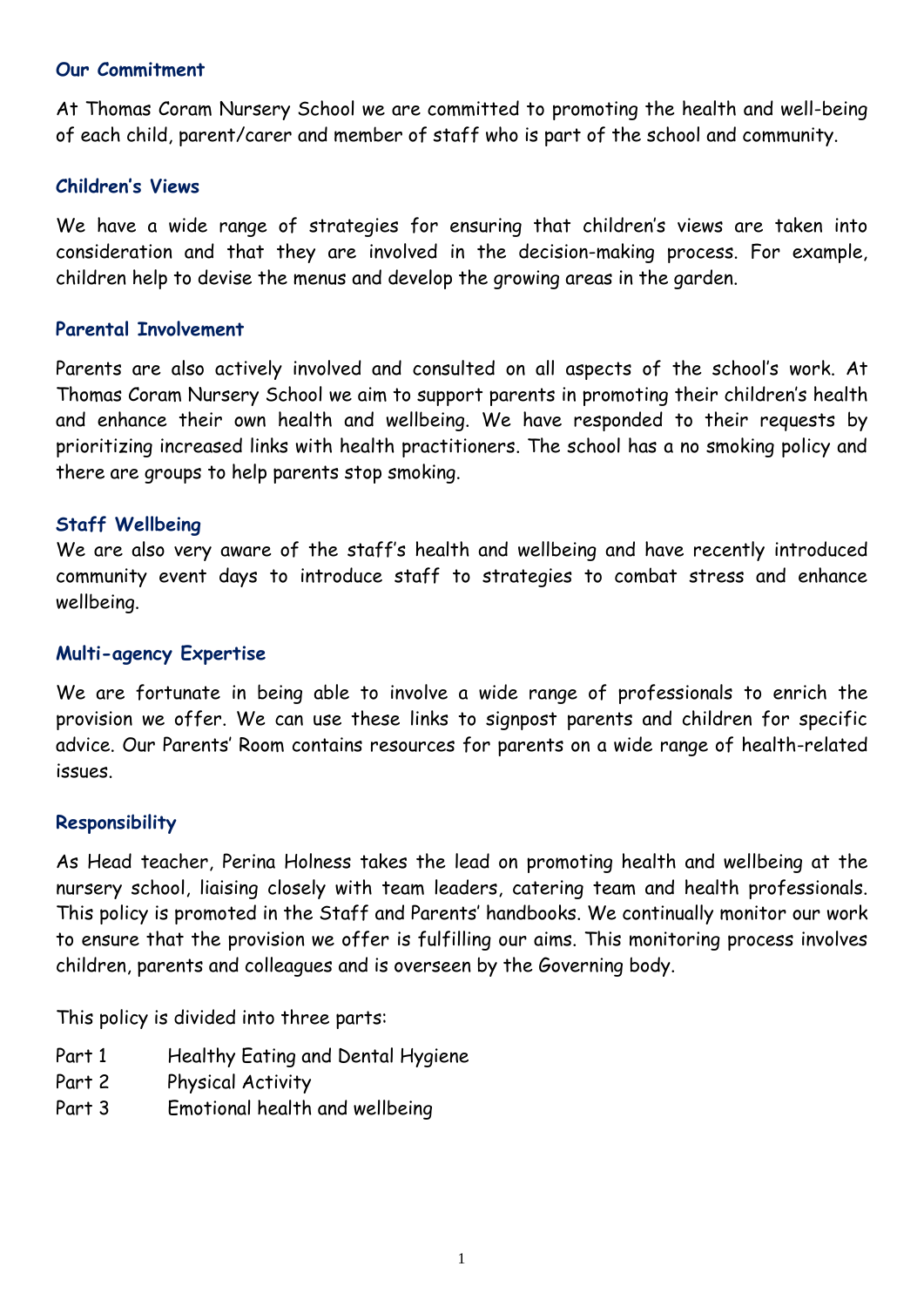#### **Our Commitment**

At Thomas Coram Nursery School we are committed to promoting the health and well-being of each child, parent/carer and member of staff who is part of the school and community.

#### **Children's Views**

We have a wide range of strategies for ensuring that children's views are taken into consideration and that they are involved in the decision-making process. For example, children help to devise the menus and develop the growing areas in the garden.

#### **Parental Involvement**

Parents are also actively involved and consulted on all aspects of the school's work. At Thomas Coram Nursery School we aim to support parents in promoting their children's health and enhance their own health and wellbeing. We have responded to their requests by prioritizing increased links with health practitioners. The school has a no smoking policy and there are groups to help parents stop smoking.

#### **Staff Wellbeing**

We are also very aware of the staff's health and wellbeing and have recently introduced community event days to introduce staff to strategies to combat stress and enhance wellbeing.

#### **Multi-agency Expertise**

We are fortunate in being able to involve a wide range of professionals to enrich the provision we offer. We can use these links to signpost parents and children for specific advice. Our Parents' Room contains resources for parents on a wide range of health-related issues.

#### **Responsibility**

As Head teacher, Perina Holness takes the lead on promoting health and wellbeing at the nursery school, liaising closely with team leaders, catering team and health professionals. This policy is promoted in the Staff and Parents' handbooks. We continually monitor our work to ensure that the provision we offer is fulfilling our aims. This monitoring process involves children, parents and colleagues and is overseen by the Governing body.

This policy is divided into three parts:

- Part 1 Healthy Eating and Dental Hygiene
- Part 2 Physical Activity
- Part 3 Emotional health and wellbeing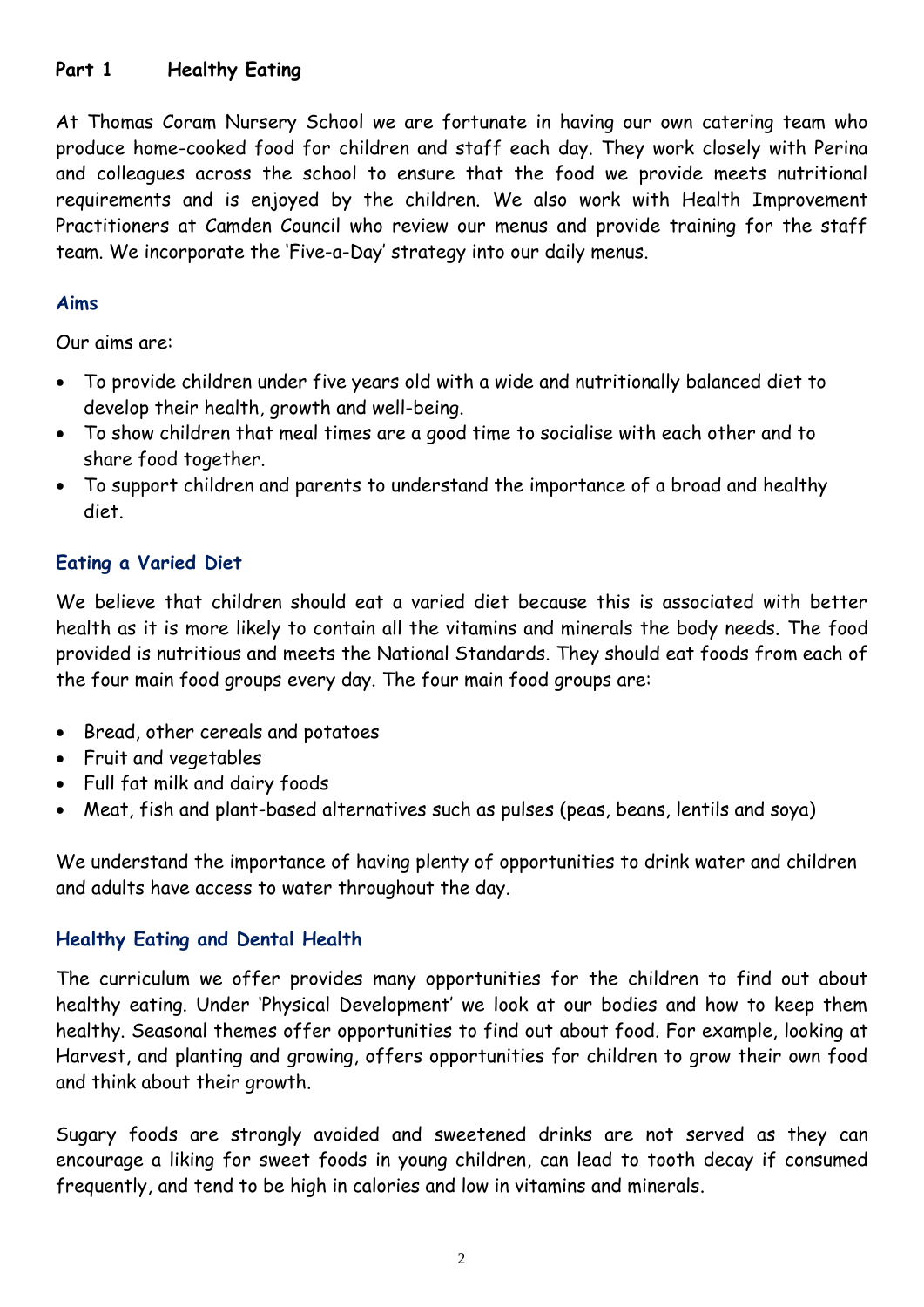#### **Part 1 Healthy Eating**

At Thomas Coram Nursery School we are fortunate in having our own catering team who produce home-cooked food for children and staff each day. They work closely with Perina and colleagues across the school to ensure that the food we provide meets nutritional requirements and is enjoyed by the children. We also work with Health Improvement Practitioners at Camden Council who review our menus and provide training for the staff team. We incorporate the 'Five-a-Day' strategy into our daily menus.

#### **Aims**

Our aims are:

- To provide children under five years old with a wide and nutritionally balanced diet to develop their health, growth and well-being.
- To show children that meal times are a good time to socialise with each other and to share food together.
- To support children and parents to understand the importance of a broad and healthy diet.

## **Eating a Varied Diet**

We believe that children should eat a varied diet because this is associated with better health as it is more likely to contain all the vitamins and minerals the body needs. The food provided is nutritious and meets the National Standards. They should eat foods from each of the four main food groups every day. The four main food groups are:

- Bread, other cereals and potatoes
- Fruit and vegetables
- Full fat milk and dairy foods
- Meat, fish and plant-based alternatives such as pulses (peas, beans, lentils and soya)

We understand the importance of having plenty of opportunities to drink water and children and adults have access to water throughout the day.

#### **Healthy Eating and Dental Health**

The curriculum we offer provides many opportunities for the children to find out about healthy eating. Under 'Physical Development' we look at our bodies and how to keep them healthy. Seasonal themes offer opportunities to find out about food. For example, looking at Harvest, and planting and growing, offers opportunities for children to grow their own food and think about their growth.

Sugary foods are strongly avoided and sweetened drinks are not served as they can encourage a liking for sweet foods in young children, can lead to tooth decay if consumed frequently, and tend to be high in calories and low in vitamins and minerals.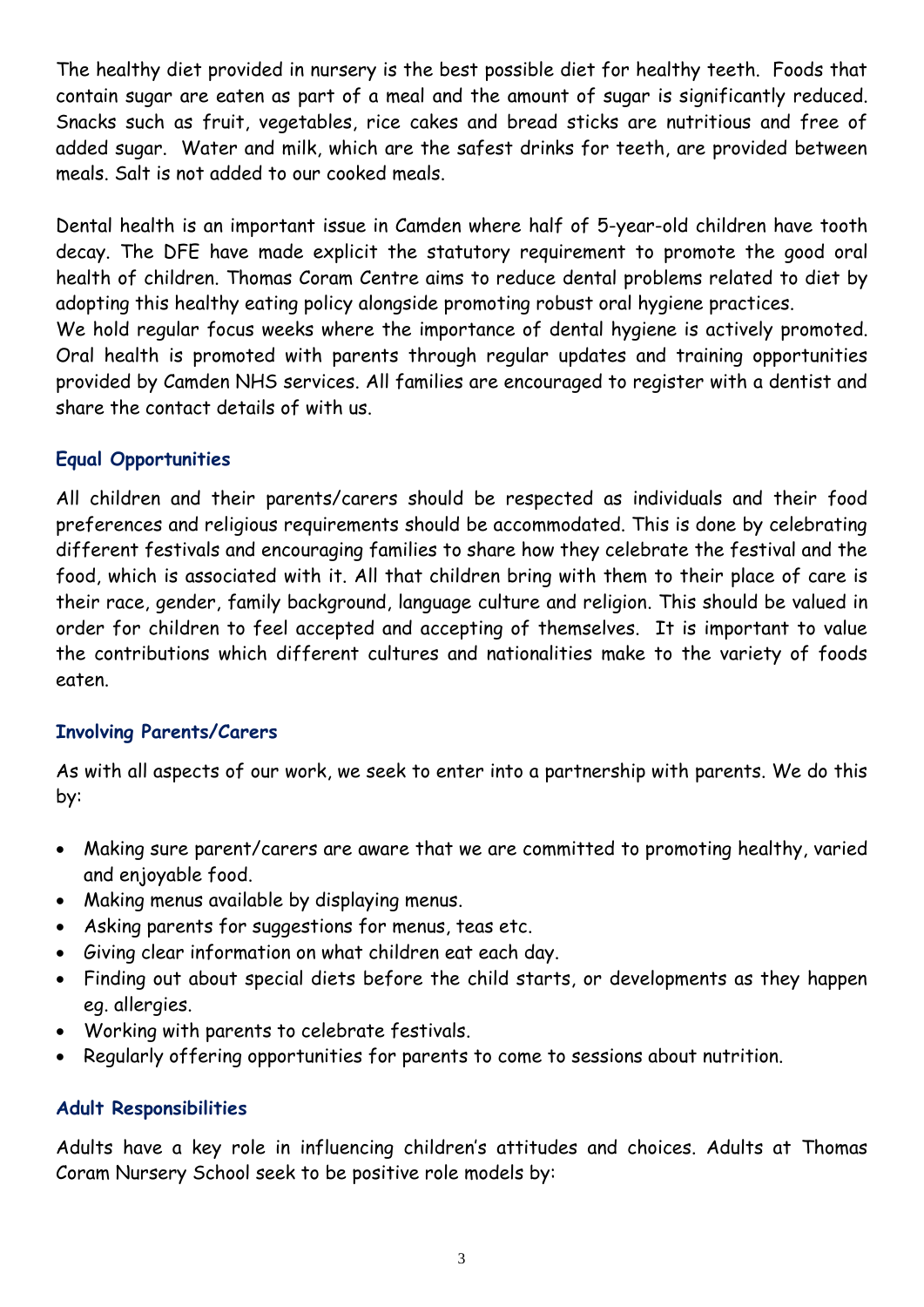The healthy diet provided in nursery is the best possible diet for healthy teeth. Foods that contain sugar are eaten as part of a meal and the amount of sugar is significantly reduced. Snacks such as fruit, vegetables, rice cakes and bread sticks are nutritious and free of added sugar. Water and milk, which are the safest drinks for teeth, are provided between meals. Salt is not added to our cooked meals.

Dental health is an important issue in Camden where half of 5-year-old children have tooth decay. The DFE have made explicit the statutory requirement to promote the good oral health of children. Thomas Coram Centre aims to reduce dental problems related to diet by adopting this healthy eating policy alongside promoting robust oral hygiene practices. We hold regular focus weeks where the importance of dental hygiene is actively promoted. Oral health is promoted with parents through regular updates and training opportunities provided by Camden NHS services. All families are encouraged to register with a dentist and

#### **Equal Opportunities**

share the contact details of with us.

All children and their parents/carers should be respected as individuals and their food preferences and religious requirements should be accommodated. This is done by celebrating different festivals and encouraging families to share how they celebrate the festival and the food, which is associated with it. All that children bring with them to their place of care is their race, gender, family background, language culture and religion. This should be valued in order for children to feel accepted and accepting of themselves. It is important to value the contributions which different cultures and nationalities make to the variety of foods eaten.

## **Involving Parents/Carers**

As with all aspects of our work, we seek to enter into a partnership with parents. We do this by:

- Making sure parent/carers are aware that we are committed to promoting healthy, varied and enjoyable food.
- Making menus available by displaying menus.
- Asking parents for suggestions for menus, teas etc.
- Giving clear information on what children eat each day.
- Finding out about special diets before the child starts, or developments as they happen eg. allergies.
- Working with parents to celebrate festivals.
- Regularly offering opportunities for parents to come to sessions about nutrition.

## **Adult Responsibilities**

Adults have a key role in influencing children's attitudes and choices. Adults at Thomas Coram Nursery School seek to be positive role models by: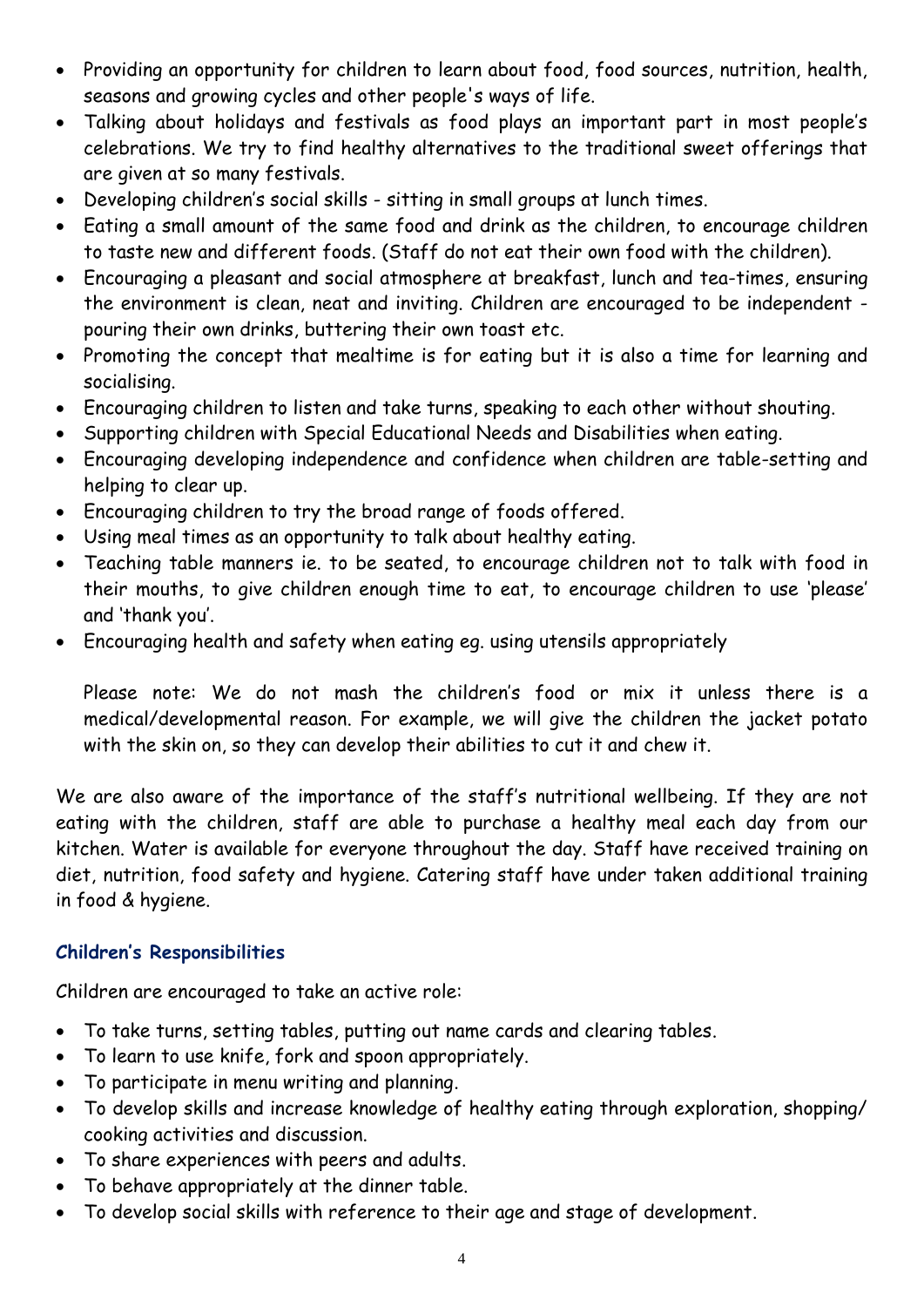- Providing an opportunity for children to learn about food, food sources, nutrition, health, seasons and growing cycles and other people's ways of life.
- Talking about holidays and festivals as food plays an important part in most people's celebrations. We try to find healthy alternatives to the traditional sweet offerings that are given at so many festivals.
- Developing children's social skills sitting in small groups at lunch times.
- Eating a small amount of the same food and drink as the children, to encourage children to taste new and different foods. (Staff do not eat their own food with the children).
- Encouraging a pleasant and social atmosphere at breakfast, lunch and tea-times, ensuring the environment is clean, neat and inviting. Children are encouraged to be independent pouring their own drinks, buttering their own toast etc.
- Promoting the concept that mealtime is for eating but it is also a time for learning and socialising.
- Encouraging children to listen and take turns, speaking to each other without shouting.
- Supporting children with Special Educational Needs and Disabilities when eating.
- Encouraging developing independence and confidence when children are table-setting and helping to clear up.
- Encouraging children to try the broad range of foods offered.
- Using meal times as an opportunity to talk about healthy eating.
- Teaching table manners ie. to be seated, to encourage children not to talk with food in their mouths, to give children enough time to eat, to encourage children to use 'please' and 'thank you'.
- Encouraging health and safety when eating eg. using utensils appropriately

Please note: We do not mash the children's food or mix it unless there is a medical/developmental reason. For example, we will give the children the jacket potato with the skin on, so they can develop their abilities to cut it and chew it.

We are also aware of the importance of the staff's nutritional wellbeing. If they are not eating with the children, staff are able to purchase a healthy meal each day from our kitchen. Water is available for everyone throughout the day. Staff have received training on diet, nutrition, food safety and hygiene. Catering staff have under taken additional training in food & hygiene.

#### **Children's Responsibilities**

Children are encouraged to take an active role:

- To take turns, setting tables, putting out name cards and clearing tables.
- To learn to use knife, fork and spoon appropriately.
- To participate in menu writing and planning.
- To develop skills and increase knowledge of healthy eating through exploration, shopping/ cooking activities and discussion.
- To share experiences with peers and adults.
- To behave appropriately at the dinner table.
- To develop social skills with reference to their age and stage of development.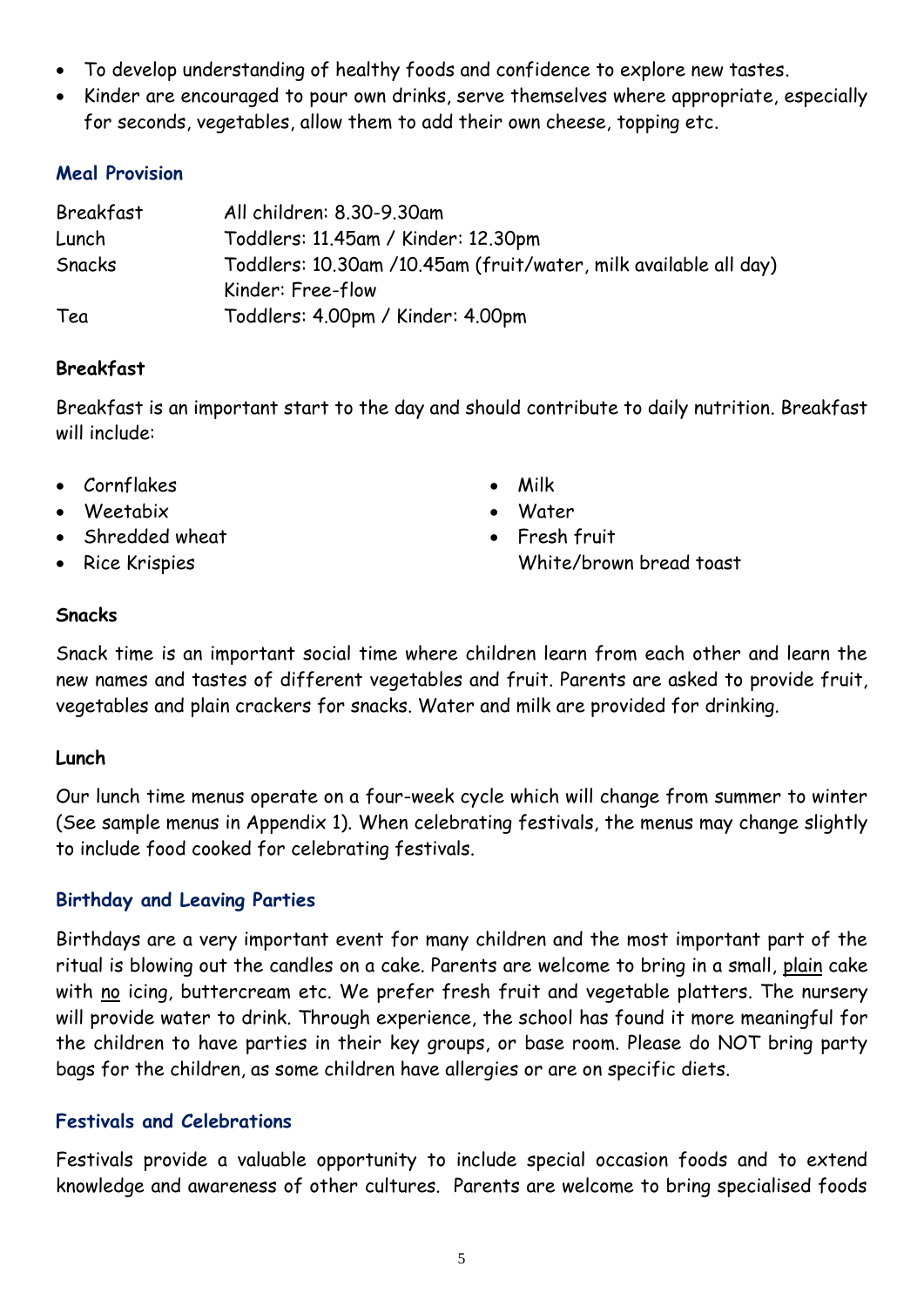- To develop understanding of healthy foods and confidence to explore new tastes.
- Kinder are encouraged to pour own drinks, serve themselves where appropriate, especially for seconds, vegetables, allow them to add their own cheese, topping etc.

#### **Meal Provision**

| Breakfast | All children: 8.30-9.30am                                        |
|-----------|------------------------------------------------------------------|
| Lunch     | Toddlers: 11.45am / Kinder: 12.30pm                              |
| Snacks    | Toddlers: 10.30am /10.45am (fruit/water, milk available all day) |
|           | Kinder: Free-flow                                                |
| Tea       | Toddlers: 4.00pm / Kinder: 4.00pm                                |

#### **Breakfast**

Breakfast is an important start to the day and should contribute to daily nutrition. Breakfast will include:

- Cornflakes
- Weetabix
- Shredded wheat
- Rice Krispies
- Milk
- Water
- Fresh fruit White/brown bread toast

#### **Snacks**

Snack time is an important social time where children learn from each other and learn the new names and tastes of different vegetables and fruit. Parents are asked to provide fruit, vegetables and plain crackers for snacks. Water and milk are provided for drinking.

#### **Lunch**

Our lunch time menus operate on a four-week cycle which will change from summer to winter (See sample menus in Appendix 1). When celebrating festivals, the menus may change slightly to include food cooked for celebrating festivals.

#### **Birthday and Leaving Parties**

Birthdays are a very important event for many children and the most important part of the ritual is blowing out the candles on a cake. Parents are welcome to bring in a small, plain cake with no icing, buttercream etc. We prefer fresh fruit and vegetable platters. The nursery will provide water to drink. Through experience, the school has found it more meaningful for the children to have parties in their key groups, or base room. Please do NOT bring party bags for the children, as some children have allergies or are on specific diets.

#### **Festivals and Celebrations**

Festivals provide a valuable opportunity to include special occasion foods and to extend knowledge and awareness of other cultures. Parents are welcome to bring specialised foods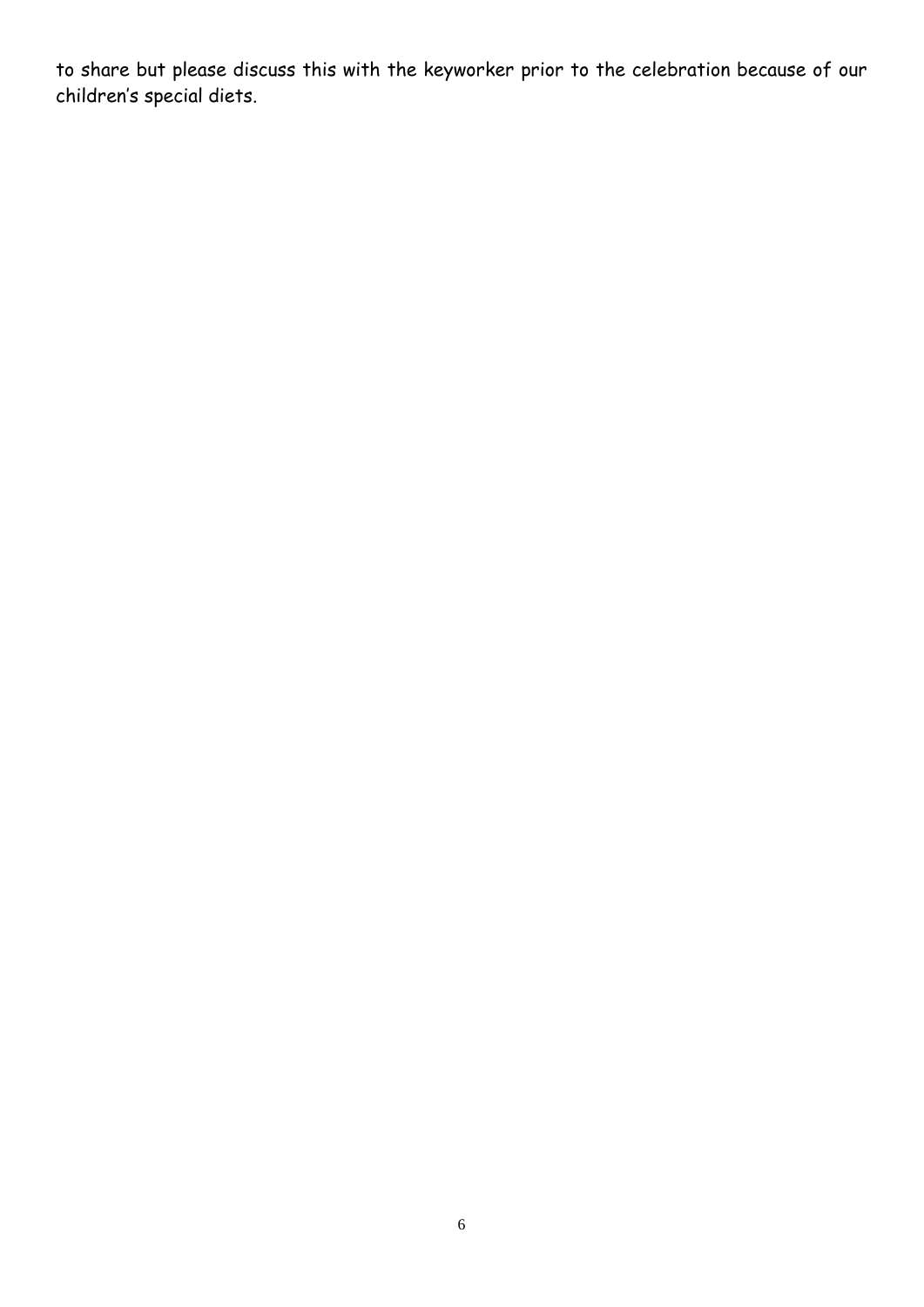to share but please discuss this with the keyworker prior to the celebration because of our children's special diets.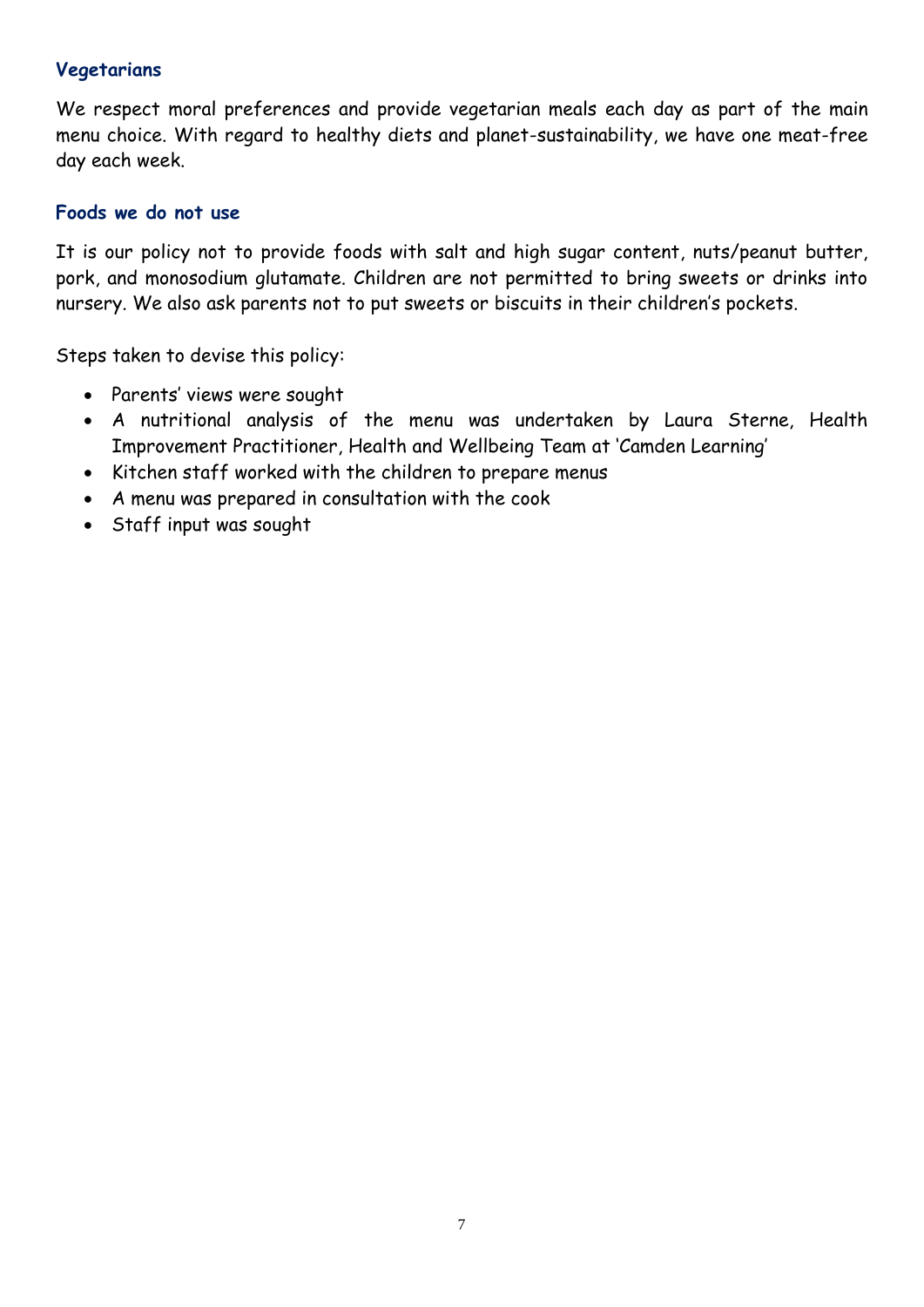#### **Vegetarians**

We respect moral preferences and provide vegetarian meals each day as part of the main menu choice. With regard to healthy diets and planet-sustainability, we have one meat-free day each week.

#### **Foods we do not use**

It is our policy not to provide foods with salt and high sugar content, nuts/peanut butter, pork, and monosodium glutamate. Children are not permitted to bring sweets or drinks into nursery. We also ask parents not to put sweets or biscuits in their children's pockets.

Steps taken to devise this policy:

- Parents' views were sought
- A nutritional analysis of the menu was undertaken by Laura Sterne, Health Improvement Practitioner, Health and Wellbeing Team at 'Camden Learning'
- Kitchen staff worked with the children to prepare menus
- A menu was prepared in consultation with the cook
- Staff input was sought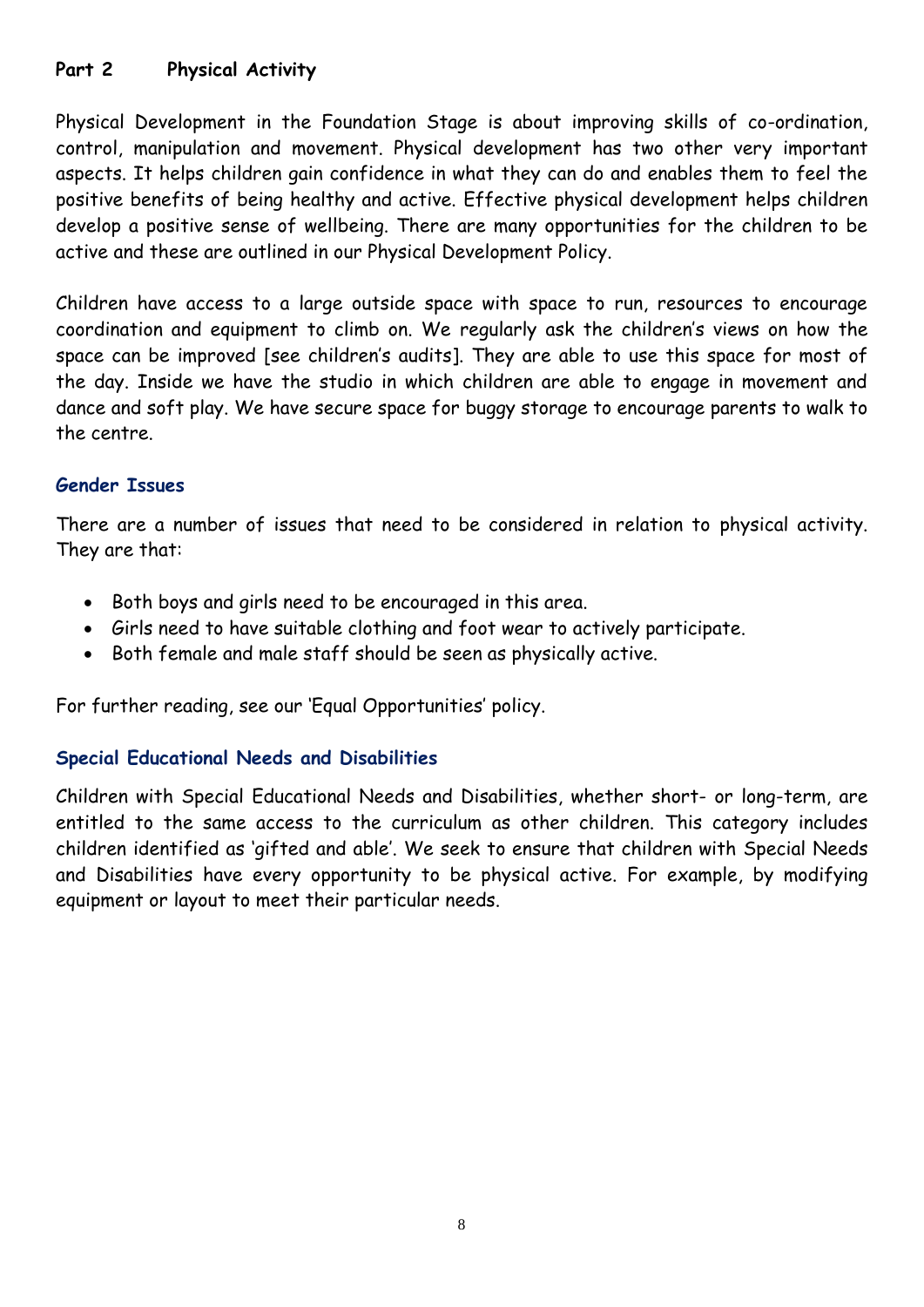#### **Part 2 Physical Activity**

Physical Development in the Foundation Stage is about improving skills of co-ordination, control, manipulation and movement. Physical development has two other very important aspects. It helps children gain confidence in what they can do and enables them to feel the positive benefits of being healthy and active. Effective physical development helps children develop a positive sense of wellbeing. There are many opportunities for the children to be active and these are outlined in our Physical Development Policy.

Children have access to a large outside space with space to run, resources to encourage coordination and equipment to climb on. We regularly ask the children's views on how the space can be improved [see children's audits]. They are able to use this space for most of the day. Inside we have the studio in which children are able to engage in movement and dance and soft play. We have secure space for buggy storage to encourage parents to walk to the centre.

#### **Gender Issues**

There are a number of issues that need to be considered in relation to physical activity. They are that:

- Both boys and girls need to be encouraged in this area.
- Girls need to have suitable clothing and foot wear to actively participate.
- Both female and male staff should be seen as physically active.

For further reading, see our 'Equal Opportunities' policy.

#### **Special Educational Needs and Disabilities**

Children with Special Educational Needs and Disabilities, whether short- or long-term, are entitled to the same access to the curriculum as other children. This category includes children identified as 'gifted and able'. We seek to ensure that children with Special Needs and Disabilities have every opportunity to be physical active. For example, by modifying equipment or layout to meet their particular needs.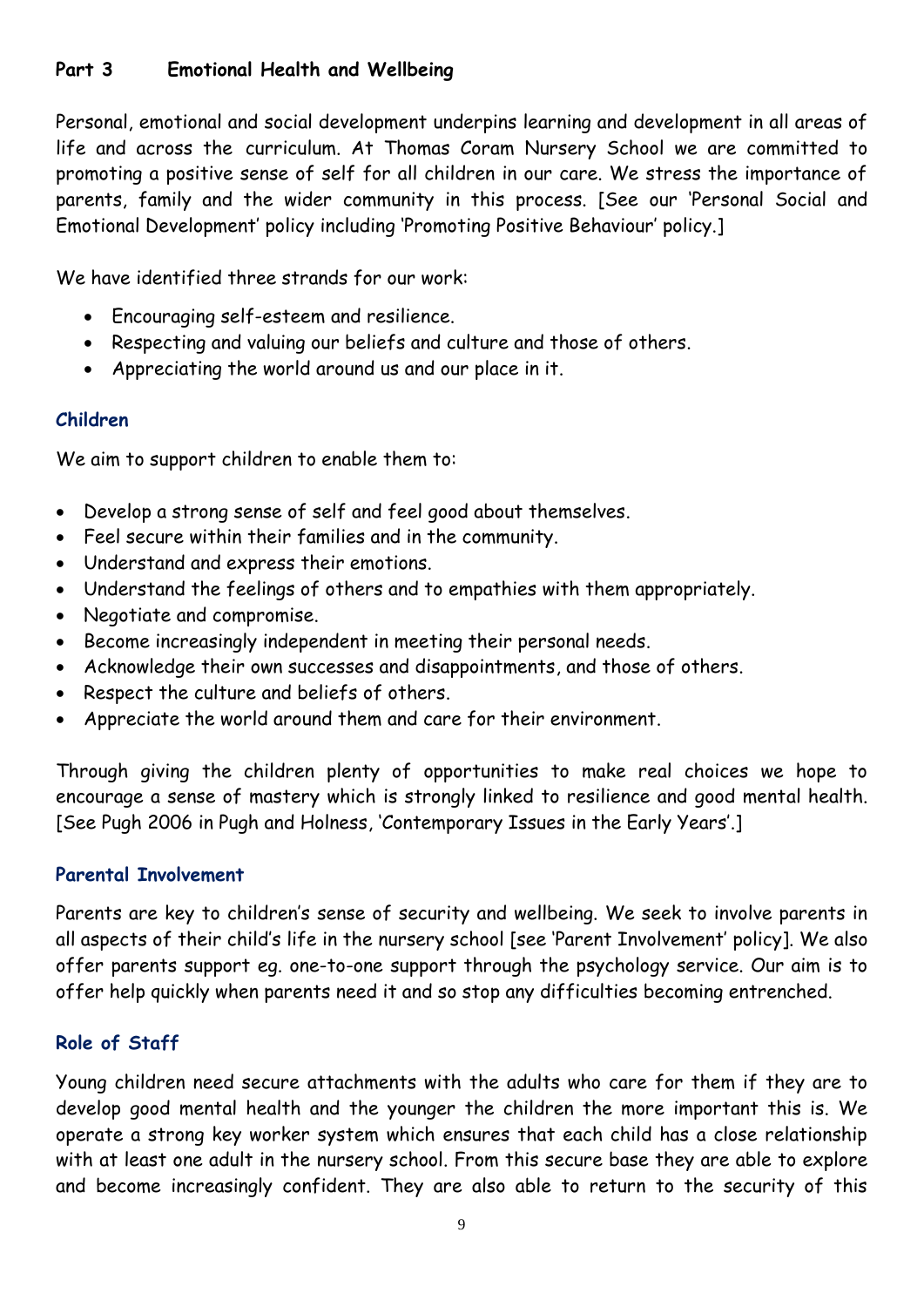#### **Part 3 Emotional Health and Wellbeing**

Personal, emotional and social development underpins learning and development in all areas of life and across the curriculum. At Thomas Coram Nursery School we are committed to promoting a positive sense of self for all children in our care. We stress the importance of parents, family and the wider community in this process. [See our 'Personal Social and Emotional Development' policy including 'Promoting Positive Behaviour' policy.]

We have identified three strands for our work:

- Encouraging self-esteem and resilience.
- Respecting and valuing our beliefs and culture and those of others.
- Appreciating the world around us and our place in it.

#### **Children**

We aim to support children to enable them to:

- Develop a strong sense of self and feel good about themselves.
- Feel secure within their families and in the community.
- Understand and express their emotions.
- Understand the feelings of others and to empathies with them appropriately.
- Negotiate and compromise.
- Become increasingly independent in meeting their personal needs.
- Acknowledge their own successes and disappointments, and those of others.
- Respect the culture and beliefs of others.
- Appreciate the world around them and care for their environment.

Through giving the children plenty of opportunities to make real choices we hope to encourage a sense of mastery which is strongly linked to resilience and good mental health. [See Pugh 2006 in Pugh and Holness, 'Contemporary Issues in the Early Years'.]

#### **Parental Involvement**

Parents are key to children's sense of security and wellbeing. We seek to involve parents in all aspects of their child's life in the nursery school [see 'Parent Involvement' policy]. We also offer parents support eg. one-to-one support through the psychology service. Our aim is to offer help quickly when parents need it and so stop any difficulties becoming entrenched.

#### **Role of Staff**

Young children need secure attachments with the adults who care for them if they are to develop good mental health and the younger the children the more important this is. We operate a strong key worker system which ensures that each child has a close relationship with at least one adult in the nursery school. From this secure base they are able to explore and become increasingly confident. They are also able to return to the security of this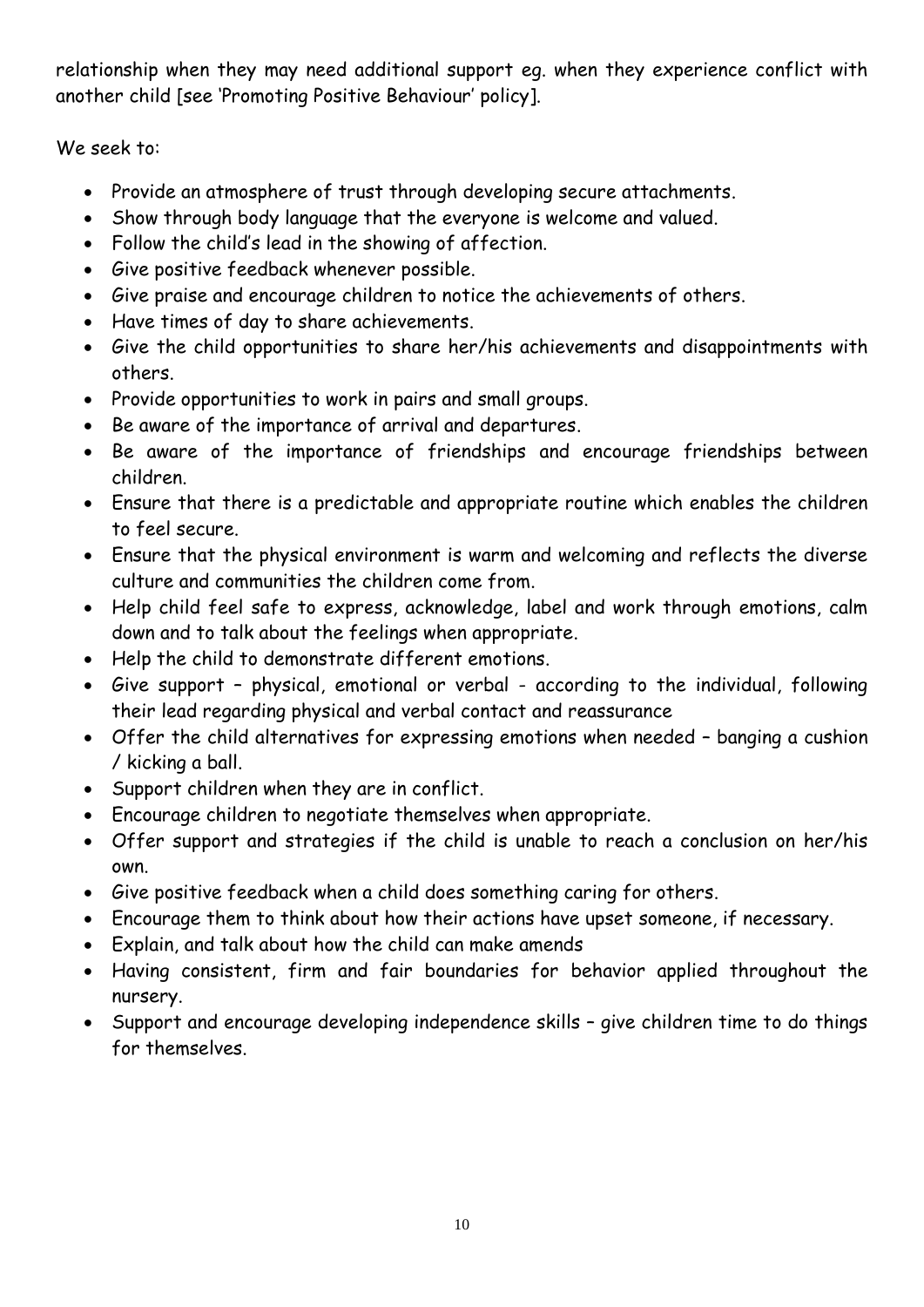relationship when they may need additional support eg. when they experience conflict with another child [see 'Promoting Positive Behaviour' policy].

We seek to:

- Provide an atmosphere of trust through developing secure attachments.
- Show through body language that the everyone is welcome and valued.
- Follow the child's lead in the showing of affection.
- Give positive feedback whenever possible.
- Give praise and encourage children to notice the achievements of others.
- Have times of day to share achievements.
- Give the child opportunities to share her/his achievements and disappointments with others.
- Provide opportunities to work in pairs and small groups.
- Be aware of the importance of arrival and departures.
- Be aware of the importance of friendships and encourage friendships between children.
- Ensure that there is a predictable and appropriate routine which enables the children to feel secure.
- Ensure that the physical environment is warm and welcoming and reflects the diverse culture and communities the children come from.
- Help child feel safe to express, acknowledge, label and work through emotions, calm down and to talk about the feelings when appropriate.
- Help the child to demonstrate different emotions.
- Give support physical, emotional or verbal according to the individual, following their lead regarding physical and verbal contact and reassurance
- Offer the child alternatives for expressing emotions when needed banging a cushion / kicking a ball.
- Support children when they are in conflict.
- Encourage children to negotiate themselves when appropriate.
- Offer support and strategies if the child is unable to reach a conclusion on her/his own.
- Give positive feedback when a child does something caring for others.
- Encourage them to think about how their actions have upset someone, if necessary.
- Explain, and talk about how the child can make amends
- Having consistent, firm and fair boundaries for behavior applied throughout the nursery.
- Support and encourage developing independence skills give children time to do things for themselves.